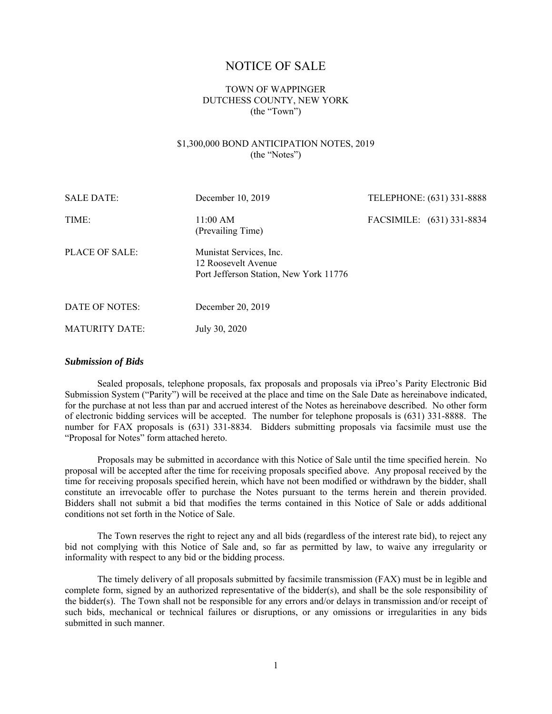# NOTICE OF SALE

## TOWN OF WAPPINGER DUTCHESS COUNTY, NEW YORK (the "Town")

## \$1,300,000 BOND ANTICIPATION NOTES, 2019 (the "Notes")

| <b>SALE DATE:</b>     | December 10, 2019                                                                        | TELEPHONE: (631) 331-8888 |
|-----------------------|------------------------------------------------------------------------------------------|---------------------------|
| TIME:                 | 11:00 AM<br>(Prevailing Time)                                                            | FACSIMILE: (631) 331-8834 |
| PLACE OF SALE:        | Munistat Services, Inc.<br>12 Roosevelt Avenue<br>Port Jefferson Station, New York 11776 |                           |
| DATE OF NOTES:        | December 20, 2019                                                                        |                           |
| <b>MATURITY DATE:</b> | July 30, 2020                                                                            |                           |

### *Submission of Bids*

Sealed proposals, telephone proposals, fax proposals and proposals via iPreo's Parity Electronic Bid Submission System ("Parity") will be received at the place and time on the Sale Date as hereinabove indicated, for the purchase at not less than par and accrued interest of the Notes as hereinabove described. No other form of electronic bidding services will be accepted. The number for telephone proposals is (631) 331-8888. The number for FAX proposals is (631) 331-8834. Bidders submitting proposals via facsimile must use the "Proposal for Notes" form attached hereto.

Proposals may be submitted in accordance with this Notice of Sale until the time specified herein. No proposal will be accepted after the time for receiving proposals specified above. Any proposal received by the time for receiving proposals specified herein, which have not been modified or withdrawn by the bidder, shall constitute an irrevocable offer to purchase the Notes pursuant to the terms herein and therein provided. Bidders shall not submit a bid that modifies the terms contained in this Notice of Sale or adds additional conditions not set forth in the Notice of Sale.

The Town reserves the right to reject any and all bids (regardless of the interest rate bid), to reject any bid not complying with this Notice of Sale and, so far as permitted by law, to waive any irregularity or informality with respect to any bid or the bidding process.

The timely delivery of all proposals submitted by facsimile transmission (FAX) must be in legible and complete form, signed by an authorized representative of the bidder(s), and shall be the sole responsibility of the bidder(s). The Town shall not be responsible for any errors and/or delays in transmission and/or receipt of such bids, mechanical or technical failures or disruptions, or any omissions or irregularities in any bids submitted in such manner.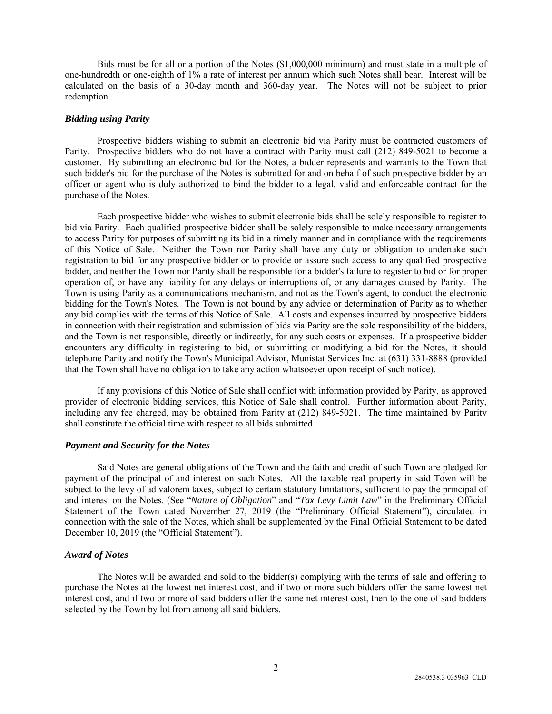Bids must be for all or a portion of the Notes (\$1,000,000 minimum) and must state in a multiple of one-hundredth or one-eighth of 1% a rate of interest per annum which such Notes shall bear. Interest will be calculated on the basis of a 30-day month and 360-day year. The Notes will not be subject to prior redemption.

### *Bidding using Parity*

Prospective bidders wishing to submit an electronic bid via Parity must be contracted customers of Parity. Prospective bidders who do not have a contract with Parity must call (212) 849-5021 to become a customer. By submitting an electronic bid for the Notes, a bidder represents and warrants to the Town that such bidder's bid for the purchase of the Notes is submitted for and on behalf of such prospective bidder by an officer or agent who is duly authorized to bind the bidder to a legal, valid and enforceable contract for the purchase of the Notes.

Each prospective bidder who wishes to submit electronic bids shall be solely responsible to register to bid via Parity. Each qualified prospective bidder shall be solely responsible to make necessary arrangements to access Parity for purposes of submitting its bid in a timely manner and in compliance with the requirements of this Notice of Sale. Neither the Town nor Parity shall have any duty or obligation to undertake such registration to bid for any prospective bidder or to provide or assure such access to any qualified prospective bidder, and neither the Town nor Parity shall be responsible for a bidder's failure to register to bid or for proper operation of, or have any liability for any delays or interruptions of, or any damages caused by Parity. The Town is using Parity as a communications mechanism, and not as the Town's agent, to conduct the electronic bidding for the Town's Notes. The Town is not bound by any advice or determination of Parity as to whether any bid complies with the terms of this Notice of Sale. All costs and expenses incurred by prospective bidders in connection with their registration and submission of bids via Parity are the sole responsibility of the bidders, and the Town is not responsible, directly or indirectly, for any such costs or expenses. If a prospective bidder encounters any difficulty in registering to bid, or submitting or modifying a bid for the Notes, it should telephone Parity and notify the Town's Municipal Advisor, Munistat Services Inc. at (631) 331-8888 (provided that the Town shall have no obligation to take any action whatsoever upon receipt of such notice).

If any provisions of this Notice of Sale shall conflict with information provided by Parity, as approved provider of electronic bidding services, this Notice of Sale shall control. Further information about Parity, including any fee charged, may be obtained from Parity at (212) 849-5021. The time maintained by Parity shall constitute the official time with respect to all bids submitted.

### *Payment and Security for the Notes*

Said Notes are general obligations of the Town and the faith and credit of such Town are pledged for payment of the principal of and interest on such Notes. All the taxable real property in said Town will be subject to the levy of ad valorem taxes, subject to certain statutory limitations, sufficient to pay the principal of and interest on the Notes. (See "*Nature of Obligation*" and "*Tax Levy Limit Law*" in the Preliminary Official Statement of the Town dated November 27, 2019 (the "Preliminary Official Statement"), circulated in connection with the sale of the Notes, which shall be supplemented by the Final Official Statement to be dated December 10, 2019 (the "Official Statement").

### *Award of Notes*

The Notes will be awarded and sold to the bidder(s) complying with the terms of sale and offering to purchase the Notes at the lowest net interest cost, and if two or more such bidders offer the same lowest net interest cost, and if two or more of said bidders offer the same net interest cost, then to the one of said bidders selected by the Town by lot from among all said bidders.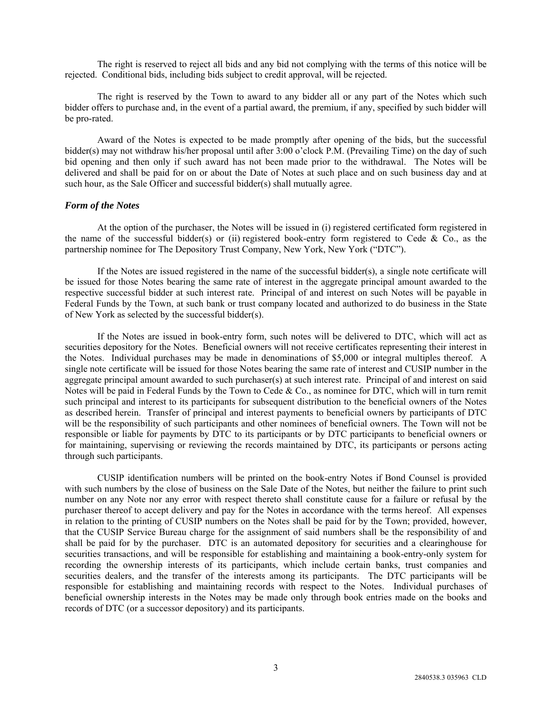The right is reserved to reject all bids and any bid not complying with the terms of this notice will be rejected. Conditional bids, including bids subject to credit approval, will be rejected.

The right is reserved by the Town to award to any bidder all or any part of the Notes which such bidder offers to purchase and, in the event of a partial award, the premium, if any, specified by such bidder will be pro-rated.

Award of the Notes is expected to be made promptly after opening of the bids, but the successful bidder(s) may not withdraw his/her proposal until after 3:00 o'clock P.M. (Prevailing Time) on the day of such bid opening and then only if such award has not been made prior to the withdrawal. The Notes will be delivered and shall be paid for on or about the Date of Notes at such place and on such business day and at such hour, as the Sale Officer and successful bidder(s) shall mutually agree.

#### *Form of the Notes*

At the option of the purchaser, the Notes will be issued in (i) registered certificated form registered in the name of the successful bidder(s) or (ii) registered book-entry form registered to Cede & Co., as the partnership nominee for The Depository Trust Company, New York, New York ("DTC").

If the Notes are issued registered in the name of the successful bidder(s), a single note certificate will be issued for those Notes bearing the same rate of interest in the aggregate principal amount awarded to the respective successful bidder at such interest rate. Principal of and interest on such Notes will be payable in Federal Funds by the Town, at such bank or trust company located and authorized to do business in the State of New York as selected by the successful bidder(s).

If the Notes are issued in book-entry form, such notes will be delivered to DTC, which will act as securities depository for the Notes. Beneficial owners will not receive certificates representing their interest in the Notes. Individual purchases may be made in denominations of \$5,000 or integral multiples thereof. A single note certificate will be issued for those Notes bearing the same rate of interest and CUSIP number in the aggregate principal amount awarded to such purchaser(s) at such interest rate. Principal of and interest on said Notes will be paid in Federal Funds by the Town to Cede & Co., as nominee for DTC, which will in turn remit such principal and interest to its participants for subsequent distribution to the beneficial owners of the Notes as described herein. Transfer of principal and interest payments to beneficial owners by participants of DTC will be the responsibility of such participants and other nominees of beneficial owners. The Town will not be responsible or liable for payments by DTC to its participants or by DTC participants to beneficial owners or for maintaining, supervising or reviewing the records maintained by DTC, its participants or persons acting through such participants.

CUSIP identification numbers will be printed on the book-entry Notes if Bond Counsel is provided with such numbers by the close of business on the Sale Date of the Notes, but neither the failure to print such number on any Note nor any error with respect thereto shall constitute cause for a failure or refusal by the purchaser thereof to accept delivery and pay for the Notes in accordance with the terms hereof. All expenses in relation to the printing of CUSIP numbers on the Notes shall be paid for by the Town; provided, however, that the CUSIP Service Bureau charge for the assignment of said numbers shall be the responsibility of and shall be paid for by the purchaser. DTC is an automated depository for securities and a clearinghouse for securities transactions, and will be responsible for establishing and maintaining a book-entry-only system for recording the ownership interests of its participants, which include certain banks, trust companies and securities dealers, and the transfer of the interests among its participants. The DTC participants will be responsible for establishing and maintaining records with respect to the Notes. Individual purchases of beneficial ownership interests in the Notes may be made only through book entries made on the books and records of DTC (or a successor depository) and its participants.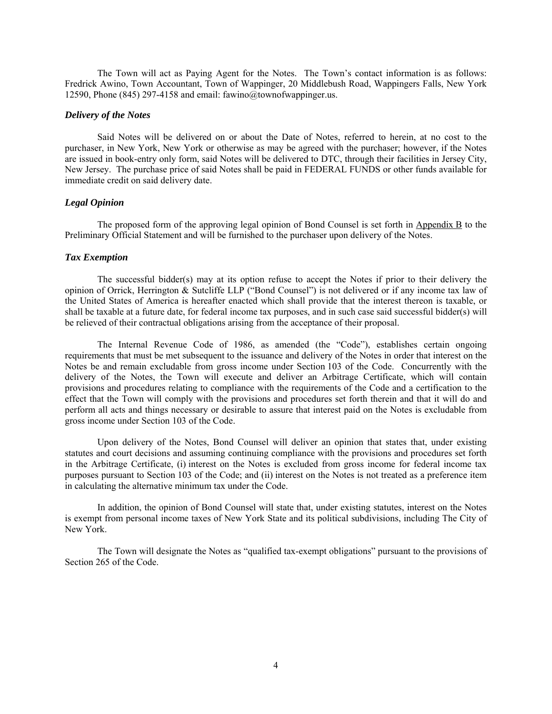The Town will act as Paying Agent for the Notes. The Town's contact information is as follows: Fredrick Awino, Town Accountant, Town of Wappinger, 20 Middlebush Road, Wappingers Falls, New York 12590, Phone (845) 297-4158 and email: fawino@townofwappinger.us.

#### *Delivery of the Notes*

Said Notes will be delivered on or about the Date of Notes, referred to herein, at no cost to the purchaser, in New York, New York or otherwise as may be agreed with the purchaser; however, if the Notes are issued in book-entry only form, said Notes will be delivered to DTC, through their facilities in Jersey City, New Jersey. The purchase price of said Notes shall be paid in FEDERAL FUNDS or other funds available for immediate credit on said delivery date.

#### *Legal Opinion*

The proposed form of the approving legal opinion of Bond Counsel is set forth in Appendix B to the Preliminary Official Statement and will be furnished to the purchaser upon delivery of the Notes.

#### *Tax Exemption*

The successful bidder(s) may at its option refuse to accept the Notes if prior to their delivery the opinion of Orrick, Herrington & Sutcliffe LLP ("Bond Counsel") is not delivered or if any income tax law of the United States of America is hereafter enacted which shall provide that the interest thereon is taxable, or shall be taxable at a future date, for federal income tax purposes, and in such case said successful bidder(s) will be relieved of their contractual obligations arising from the acceptance of their proposal.

The Internal Revenue Code of 1986, as amended (the "Code"), establishes certain ongoing requirements that must be met subsequent to the issuance and delivery of the Notes in order that interest on the Notes be and remain excludable from gross income under Section 103 of the Code. Concurrently with the delivery of the Notes, the Town will execute and deliver an Arbitrage Certificate, which will contain provisions and procedures relating to compliance with the requirements of the Code and a certification to the effect that the Town will comply with the provisions and procedures set forth therein and that it will do and perform all acts and things necessary or desirable to assure that interest paid on the Notes is excludable from gross income under Section 103 of the Code.

Upon delivery of the Notes, Bond Counsel will deliver an opinion that states that, under existing statutes and court decisions and assuming continuing compliance with the provisions and procedures set forth in the Arbitrage Certificate, (i) interest on the Notes is excluded from gross income for federal income tax purposes pursuant to Section 103 of the Code; and (ii) interest on the Notes is not treated as a preference item in calculating the alternative minimum tax under the Code.

In addition, the opinion of Bond Counsel will state that, under existing statutes, interest on the Notes is exempt from personal income taxes of New York State and its political subdivisions, including The City of New York.

The Town will designate the Notes as "qualified tax-exempt obligations" pursuant to the provisions of Section 265 of the Code.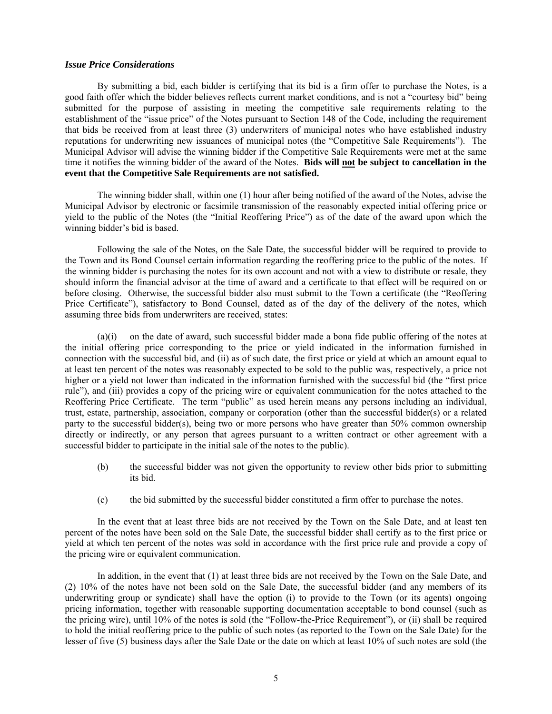#### *Issue Price Considerations*

By submitting a bid, each bidder is certifying that its bid is a firm offer to purchase the Notes, is a good faith offer which the bidder believes reflects current market conditions, and is not a "courtesy bid" being submitted for the purpose of assisting in meeting the competitive sale requirements relating to the establishment of the "issue price" of the Notes pursuant to Section 148 of the Code, including the requirement that bids be received from at least three (3) underwriters of municipal notes who have established industry reputations for underwriting new issuances of municipal notes (the "Competitive Sale Requirements"). The Municipal Advisor will advise the winning bidder if the Competitive Sale Requirements were met at the same time it notifies the winning bidder of the award of the Notes. **Bids will not be subject to cancellation in the event that the Competitive Sale Requirements are not satisfied.**

The winning bidder shall, within one (1) hour after being notified of the award of the Notes, advise the Municipal Advisor by electronic or facsimile transmission of the reasonably expected initial offering price or yield to the public of the Notes (the "Initial Reoffering Price") as of the date of the award upon which the winning bidder's bid is based.

Following the sale of the Notes, on the Sale Date, the successful bidder will be required to provide to the Town and its Bond Counsel certain information regarding the reoffering price to the public of the notes. If the winning bidder is purchasing the notes for its own account and not with a view to distribute or resale, they should inform the financial advisor at the time of award and a certificate to that effect will be required on or before closing. Otherwise, the successful bidder also must submit to the Town a certificate (the "Reoffering Price Certificate"), satisfactory to Bond Counsel, dated as of the day of the delivery of the notes, which assuming three bids from underwriters are received, states:

(a)(i) on the date of award, such successful bidder made a bona fide public offering of the notes at the initial offering price corresponding to the price or yield indicated in the information furnished in connection with the successful bid, and (ii) as of such date, the first price or yield at which an amount equal to at least ten percent of the notes was reasonably expected to be sold to the public was, respectively, a price not higher or a yield not lower than indicated in the information furnished with the successful bid (the "first price rule"), and (iii) provides a copy of the pricing wire or equivalent communication for the notes attached to the Reoffering Price Certificate. The term "public" as used herein means any persons including an individual, trust, estate, partnership, association, company or corporation (other than the successful bidder(s) or a related party to the successful bidder(s), being two or more persons who have greater than 50% common ownership directly or indirectly, or any person that agrees pursuant to a written contract or other agreement with a successful bidder to participate in the initial sale of the notes to the public).

- (b) the successful bidder was not given the opportunity to review other bids prior to submitting its bid.
- (c) the bid submitted by the successful bidder constituted a firm offer to purchase the notes.

In the event that at least three bids are not received by the Town on the Sale Date, and at least ten percent of the notes have been sold on the Sale Date, the successful bidder shall certify as to the first price or yield at which ten percent of the notes was sold in accordance with the first price rule and provide a copy of the pricing wire or equivalent communication.

In addition, in the event that (1) at least three bids are not received by the Town on the Sale Date, and (2) 10% of the notes have not been sold on the Sale Date, the successful bidder (and any members of its underwriting group or syndicate) shall have the option (i) to provide to the Town (or its agents) ongoing pricing information, together with reasonable supporting documentation acceptable to bond counsel (such as the pricing wire), until 10% of the notes is sold (the "Follow-the-Price Requirement"), or (ii) shall be required to hold the initial reoffering price to the public of such notes (as reported to the Town on the Sale Date) for the lesser of five (5) business days after the Sale Date or the date on which at least 10% of such notes are sold (the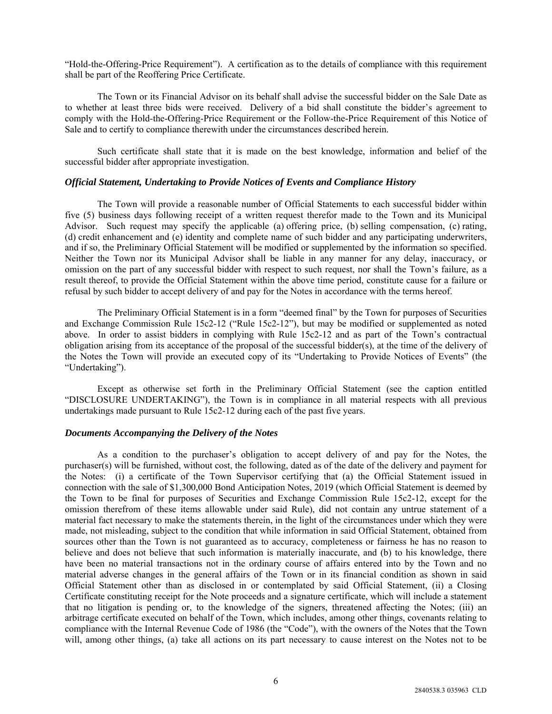"Hold-the-Offering-Price Requirement"). A certification as to the details of compliance with this requirement shall be part of the Reoffering Price Certificate.

The Town or its Financial Advisor on its behalf shall advise the successful bidder on the Sale Date as to whether at least three bids were received. Delivery of a bid shall constitute the bidder's agreement to comply with the Hold-the-Offering-Price Requirement or the Follow-the-Price Requirement of this Notice of Sale and to certify to compliance therewith under the circumstances described herein.

Such certificate shall state that it is made on the best knowledge, information and belief of the successful bidder after appropriate investigation.

#### *Official Statement, Undertaking to Provide Notices of Events and Compliance History*

The Town will provide a reasonable number of Official Statements to each successful bidder within five (5) business days following receipt of a written request therefor made to the Town and its Municipal Advisor. Such request may specify the applicable (a) offering price, (b) selling compensation, (c) rating, (d) credit enhancement and (e) identity and complete name of such bidder and any participating underwriters, and if so, the Preliminary Official Statement will be modified or supplemented by the information so specified. Neither the Town nor its Municipal Advisor shall be liable in any manner for any delay, inaccuracy, or omission on the part of any successful bidder with respect to such request, nor shall the Town's failure, as a result thereof, to provide the Official Statement within the above time period, constitute cause for a failure or refusal by such bidder to accept delivery of and pay for the Notes in accordance with the terms hereof.

The Preliminary Official Statement is in a form "deemed final" by the Town for purposes of Securities and Exchange Commission Rule 15c2-12 ("Rule 15c2-12"), but may be modified or supplemented as noted above. In order to assist bidders in complying with Rule 15c2-12 and as part of the Town's contractual obligation arising from its acceptance of the proposal of the successful bidder(s), at the time of the delivery of the Notes the Town will provide an executed copy of its "Undertaking to Provide Notices of Events" (the "Undertaking").

Except as otherwise set forth in the Preliminary Official Statement (see the caption entitled "DISCLOSURE UNDERTAKING"), the Town is in compliance in all material respects with all previous undertakings made pursuant to Rule 15c2-12 during each of the past five years.

### *Documents Accompanying the Delivery of the Notes*

As a condition to the purchaser's obligation to accept delivery of and pay for the Notes, the purchaser(s) will be furnished, without cost, the following, dated as of the date of the delivery and payment for the Notes: (i) a certificate of the Town Supervisor certifying that (a) the Official Statement issued in connection with the sale of \$1,300,000 Bond Anticipation Notes, 2019 (which Official Statement is deemed by the Town to be final for purposes of Securities and Exchange Commission Rule 15c2-12, except for the omission therefrom of these items allowable under said Rule), did not contain any untrue statement of a material fact necessary to make the statements therein, in the light of the circumstances under which they were made, not misleading, subject to the condition that while information in said Official Statement, obtained from sources other than the Town is not guaranteed as to accuracy, completeness or fairness he has no reason to believe and does not believe that such information is materially inaccurate, and (b) to his knowledge, there have been no material transactions not in the ordinary course of affairs entered into by the Town and no material adverse changes in the general affairs of the Town or in its financial condition as shown in said Official Statement other than as disclosed in or contemplated by said Official Statement, (ii) a Closing Certificate constituting receipt for the Note proceeds and a signature certificate, which will include a statement that no litigation is pending or, to the knowledge of the signers, threatened affecting the Notes; (iii) an arbitrage certificate executed on behalf of the Town, which includes, among other things, covenants relating to compliance with the Internal Revenue Code of 1986 (the "Code"), with the owners of the Notes that the Town will, among other things, (a) take all actions on its part necessary to cause interest on the Notes not to be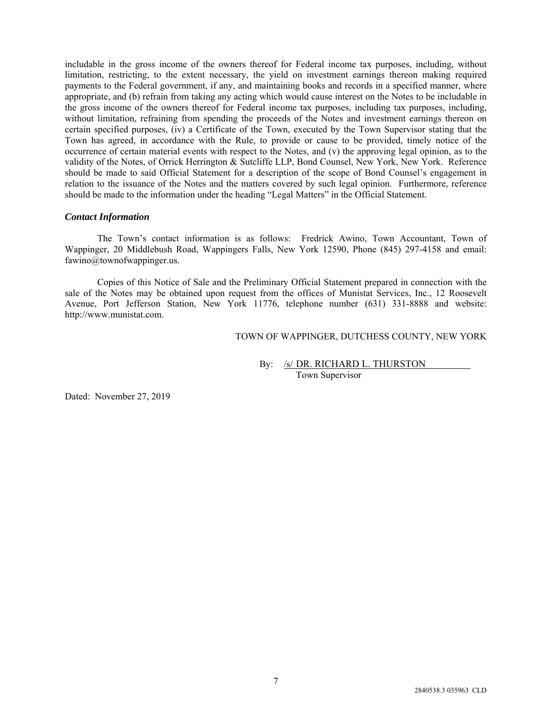includable in the gross income of the owners thereof for Federal income tax purposes, including, without limitation, restricting, to the extent necessary, the yield on investment earnings thereon making required payments to the Federal government, if any, and maintaining books and records in a specified manner, where appropriate, and (b) refrain from taking any acting which would cause interest on the Notes to be includable in the gross income of the owners thereof for Federal income tax purposes, including tax purposes, including, without limitation, refraining from spending the proceeds of the Notes and investment earnings thereon on certain specified purposes, (iv) a Certificate of the Town, executed by the Town Supervisor stating that the Town has agreed, in accordance with the Rule, to provide or cause to be provided, timely notice of the occurrence of certain material events with respect to the Notes, and (v) the approving legal opinion, as to the validity of the Notes, of Orrick Herrington & Sutcliffe LLP, Bond Counsel, New York, New York. Reference should be made to said Official Statement for a description of the scope of Bond Counsel's engagement in relation to the issuance of the Notes and the matters covered by such legal opinion. Furthermore, reference should be made to the information under the heading "Legal Matters" in the Official Statement.

### *Contact Information*

The Town's contact information is as follows: Fredrick Awino, Town Accountant, Town of Wappinger, 20 Middlebush Road, Wappingers Falls, New York 12590, Phone (845) 297-4158 and email: fawino@townofwappinger.us.

Copies of this Notice of Sale and the Preliminary Official Statement prepared in connection with the sale of the Notes may be obtained upon request from the offices of Munistat Services, Inc., 12 Roosevelt Avenue, Port Jefferson Station, New York 11776, telephone number (631) 331-8888 and website: http://www.munistat.com.

TOWN OF WAPPINGER, DUTCHESS COUNTY, NEW YORK

By: /s/ DR. RICHARD L. THURSTON Town Supervisor

Dated: November 27, 2019